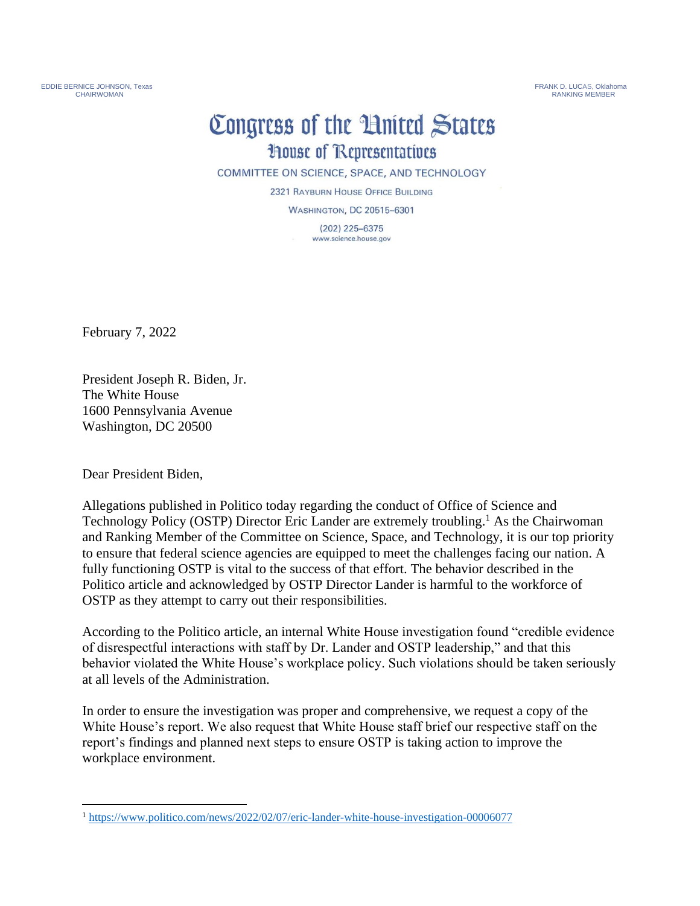EDDIE BERNICE JOHNSON, Texas FRANK D. LUCAS, Oklahoma CHAIRWOMAN RANKING MEMBER<br>CHAIRWOMAN RANKING MEMBER

## Congress of the United States **House of Representatives**

COMMITTEE ON SCIENCE, SPACE, AND TECHNOLOGY

2321 RAYBURN HOUSE OFFICE BUILDING

**WASHINGTON, DC 20515-6301** 

 $(202)$  225-6375 www.science.house.gov

February 7, 2022

President Joseph R. Biden, Jr. The White House 1600 Pennsylvania Avenue Washington, DC 20500

Dear President Biden,

Allegations published in Politico today regarding the conduct of Office of Science and Technology Policy (OSTP) Director Eric Lander are extremely troubling.<sup>1</sup> As the Chairwoman and Ranking Member of the Committee on Science, Space, and Technology, it is our top priority to ensure that federal science agencies are equipped to meet the challenges facing our nation. A fully functioning OSTP is vital to the success of that effort. The behavior described in the Politico article and acknowledged by OSTP Director Lander is harmful to the workforce of OSTP as they attempt to carry out their responsibilities.

According to the Politico article, an internal White House investigation found "credible evidence of disrespectful interactions with staff by Dr. Lander and OSTP leadership," and that this behavior violated the White House's workplace policy. Such violations should be taken seriously at all levels of the Administration.

In order to ensure the investigation was proper and comprehensive, we request a copy of the White House's report. We also request that White House staff brief our respective staff on the report's findings and planned next steps to ensure OSTP is taking action to improve the workplace environment.

<sup>1</sup> <https://www.politico.com/news/2022/02/07/eric-lander-white-house-investigation-00006077>